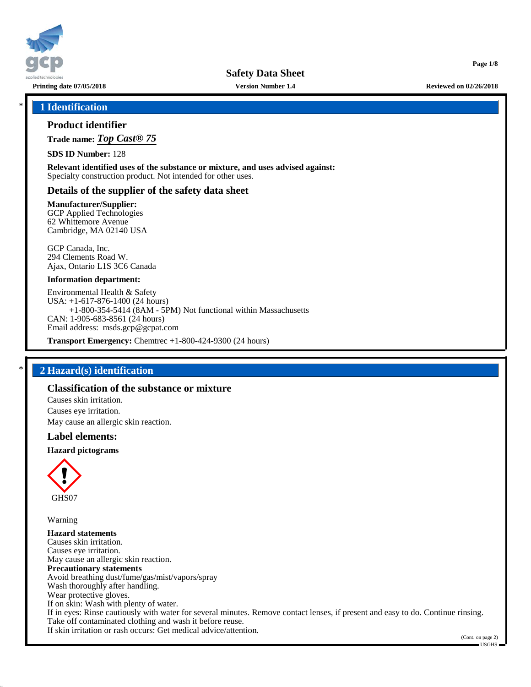

**Safety Data Sheet**

**Printing date 07/05/2018 Version Number 1.4 Reviewed on 02/26/2018**

**Page 1/8**

## \* **1 Identification**

## **Product identifier**

**Trade name:** *Top Cast® 75*

**SDS ID Number:** 128

**Relevant identified uses of the substance or mixture, and uses advised against:** Specialty construction product. Not intended for other uses.

## **Details of the supplier of the safety data sheet**

#### **Manufacturer/Supplier:**

GCP Applied Technologies 62 Whittemore Avenue Cambridge, MA 02140 USA

GCP Canada, Inc. 294 Clements Road W. Ajax, Ontario L1S 3C6 Canada

#### **Information department:**

Environmental Health & Safety USA: +1-617-876-1400 (24 hours) +1-800-354-5414 (8AM - 5PM) Not functional within Massachusetts CAN: 1-905-683-8561 (24 hours) Email address: msds.gcp@gcpat.com

**Transport Emergency:** Chemtrec +1-800-424-9300 (24 hours)

## \* **2 Hazard(s) identification**

# **Classification of the substance or mixture**

Causes skin irritation. Causes eye irritation. May cause an allergic skin reaction.

#### **Label elements:**

#### **Hazard pictograms**



Warning

**Hazard statements** Causes skin irritation. Causes eye irritation. May cause an allergic skin reaction. **Precautionary statements** Avoid breathing dust/fume/gas/mist/vapors/spray Wash thoroughly after handling. Wear protective gloves. If on skin: Wash with plenty of water. If in eyes: Rinse cautiously with water for several minutes. Remove contact lenses, if present and easy to do. Continue rinsing. Take off contaminated clothing and wash it before reuse. If skin irritation or rash occurs: Get medical advice/attention.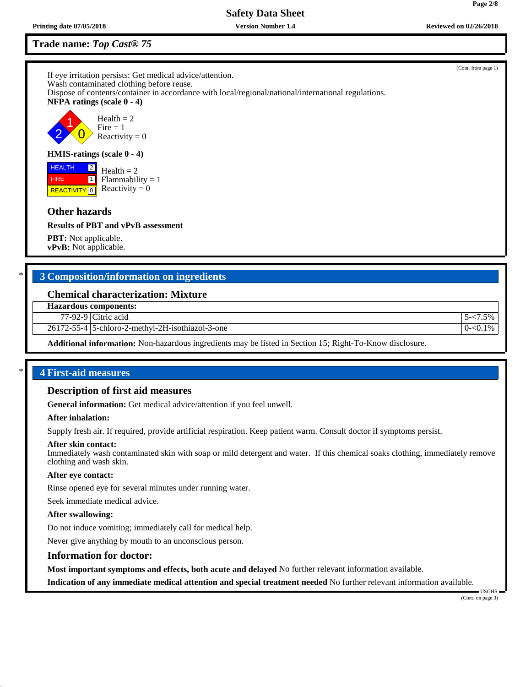**Safety Data Sheet**

# **Trade name:** *Top Cast® 75*

If eye irritation persists: Get medical advice/attention. Wash contaminated clothing before reuse. Dispose of contents/container in accordance with local/regional/national/international regulations. **NFPA ratings (scale 0 - 4)** 2 1  $\overline{0}$  $Health = 2$  $Fire = 1$ Reactivity  $= 0$ 

## **HMIS-ratings (scale 0 - 4)**

**REACTIVITY** 0 2  $\Box$  $Health = 2$  $Flammability = 1$ Reactivity  $= 0$ 

# **Other hazards**

 HEALTH FIRE

**Results of PBT and vPvB assessment**

**PBT:** Not applicable. **vPvB:** Not applicable.

# \* **3 Composition/information on ingredients**

#### **Chemical characterization: Mixture**

**Hazardous components:**

77-92-9 Citric acid 5-<7.5%

26172-55-4 5-chloro-2-methyl-2H-isothiazol-3-one 0-<0.1%

**Additional information:** Non-hazardous ingredients may be listed in Section 15; Right-To-Know disclosure.

## \* **4 First-aid measures**

#### **Description of first aid measures**

**General information:** Get medical advice/attention if you feel unwell.

#### **After inhalation:**

Supply fresh air. If required, provide artificial respiration. Keep patient warm. Consult doctor if symptoms persist.

#### **After skin contact:**

Immediately wash contaminated skin with soap or mild detergent and water. If this chemical soaks clothing, immediately remove clothing and wash skin.

#### **After eye contact:**

Rinse opened eye for several minutes under running water.

Seek immediate medical advice.

#### **After swallowing:**

Do not induce vomiting; immediately call for medical help.

Never give anything by mouth to an unconscious person.

#### **Information for doctor:**

**Most important symptoms and effects, both acute and delayed** No further relevant information available.

**Indication of any immediate medical attention and special treatment needed** No further relevant information available.

 USGHS (Cont. on page 3)



(Cont. from page 1)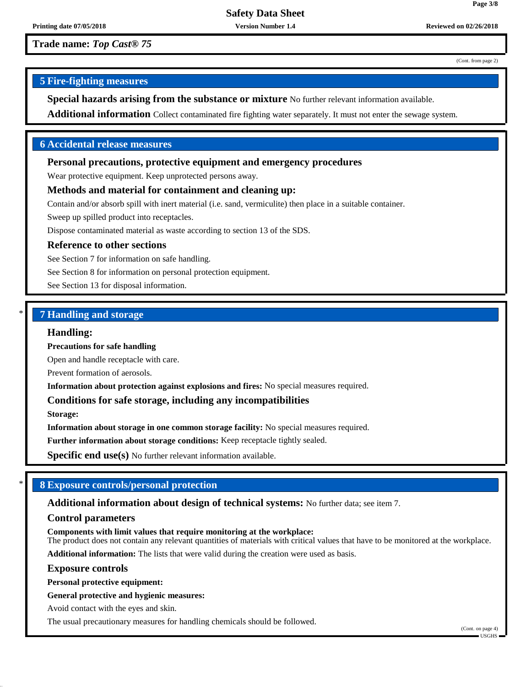(Cont. from page 2)

**Page 3/8**

## **5 Fire-fighting measures**

**Special hazards arising from the substance or mixture** No further relevant information available.

**Additional information** Collect contaminated fire fighting water separately. It must not enter the sewage system.

## **6 Accidental release measures**

#### **Personal precautions, protective equipment and emergency procedures**

Wear protective equipment. Keep unprotected persons away.

# **Methods and material for containment and cleaning up:**

Contain and/or absorb spill with inert material (i.e. sand, vermiculite) then place in a suitable container.

Sweep up spilled product into receptacles.

Dispose contaminated material as waste according to section 13 of the SDS.

#### **Reference to other sections**

See Section 7 for information on safe handling.

See Section 8 for information on personal protection equipment.

See Section 13 for disposal information.

# \* **7 Handling and storage**

#### **Handling:**

**Precautions for safe handling**

Open and handle receptacle with care.

Prevent formation of aerosols.

**Information about protection against explosions and fires:** No special measures required.

#### **Conditions for safe storage, including any incompatibilities**

**Storage:**

**Information about storage in one common storage facility:** No special measures required.

**Further information about storage conditions:** Keep receptacle tightly sealed.

**Specific end use(s)** No further relevant information available.

## \* **8 Exposure controls/personal protection**

**Additional information about design of technical systems:** No further data; see item 7.

#### **Control parameters**

**Components with limit values that require monitoring at the workplace:**

The product does not contain any relevant quantities of materials with critical values that have to be monitored at the workplace.

**Additional information:** The lists that were valid during the creation were used as basis.

#### **Exposure controls**

**Personal protective equipment:**

**General protective and hygienic measures:**

Avoid contact with the eyes and skin.

The usual precautionary measures for handling chemicals should be followed.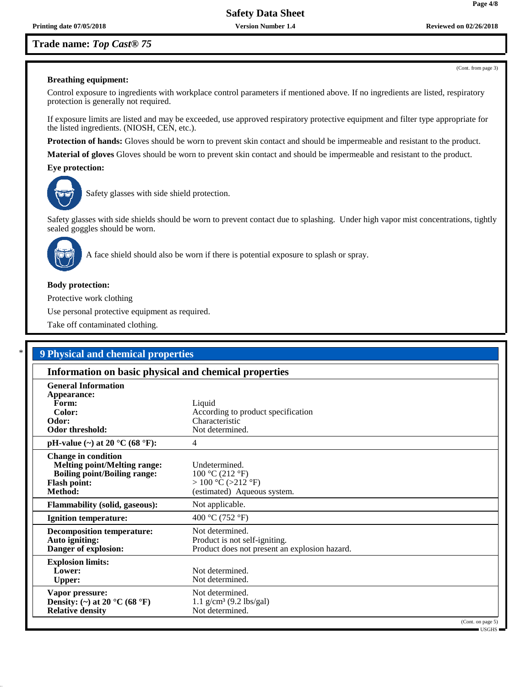(Cont. from page 3)

**Page 4/8**

#### **Breathing equipment:**

Control exposure to ingredients with workplace control parameters if mentioned above. If no ingredients are listed, respiratory protection is generally not required.

If exposure limits are listed and may be exceeded, use approved respiratory protective equipment and filter type appropriate for the listed ingredients. (NIOSH, CEN, etc.).

**Protection of hands:** Gloves should be worn to prevent skin contact and should be impermeable and resistant to the product.

**Material of gloves** Gloves should be worn to prevent skin contact and should be impermeable and resistant to the product.

**Eye protection:**



Safety glasses with side shield protection.

Safety glasses with side shields should be worn to prevent contact due to splashing. Under high vapor mist concentrations, tightly sealed goggles should be worn.



A face shield should also be worn if there is potential exposure to splash or spray.

## **Body protection:**

Protective work clothing

Use personal protective equipment as required.

Take off contaminated clothing.

| Information on basic physical and chemical properties                                                                               |                                                                                                   |
|-------------------------------------------------------------------------------------------------------------------------------------|---------------------------------------------------------------------------------------------------|
| <b>General Information</b>                                                                                                          |                                                                                                   |
| Appearance:                                                                                                                         |                                                                                                   |
| Form:                                                                                                                               | Liquid                                                                                            |
| Color:                                                                                                                              | According to product specification                                                                |
| Odor:                                                                                                                               | Characteristic                                                                                    |
| <b>Odor threshold:</b>                                                                                                              | Not determined.                                                                                   |
| pH-value $(\sim)$ at 20 °C (68 °F):                                                                                                 | 4                                                                                                 |
| <b>Change in condition</b><br><b>Melting point/Melting range:</b><br><b>Boiling point/Boiling range:</b><br>Flash point:<br>Method: | Undetermined.<br>100 °C (212 °F)<br>> 100 °C (>212 °F)<br>(estimated) Aqueous system.             |
| <b>Flammability (solid, gaseous):</b>                                                                                               | Not applicable.                                                                                   |
| <b>Ignition temperature:</b>                                                                                                        | 400 °C (752 °F)                                                                                   |
| <b>Decomposition temperature:</b><br>Auto igniting:<br>Danger of explosion:                                                         | Not determined.<br>Product is not self-igniting.<br>Product does not present an explosion hazard. |
| <b>Explosion limits:</b><br>Lower:<br><b>Upper:</b>                                                                                 | Not determined.<br>Not determined.                                                                |
| Vapor pressure:<br>Density: (~) at 20 $^{\circ}$ C (68 $^{\circ}$ F)<br><b>Relative density</b>                                     | Not determined.<br>$1.1$ g/cm <sup>3</sup> (9.2 lbs/gal)<br>Not determined.                       |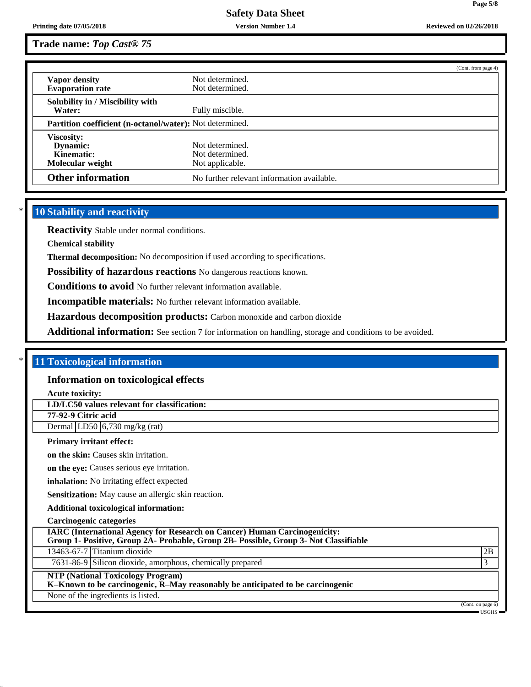# **Safety Data Sheet**

# **Trade name:** *Top Cast® 75*

|                                                          |                                            | (Cont. from page 4) |
|----------------------------------------------------------|--------------------------------------------|---------------------|
| Vapor density                                            | Not determined.                            |                     |
| <b>Evaporation rate</b>                                  | Not determined.                            |                     |
| Solubility in / Miscibility with                         |                                            |                     |
| Water:                                                   | Fully miscible.                            |                     |
| Partition coefficient (n-octanol/water): Not determined. |                                            |                     |
| <b>Viscosity:</b>                                        |                                            |                     |
| Dynamic:                                                 | Not determined.                            |                     |
| Kinematic:                                               | Not determined.                            |                     |
| Molecular weight                                         | Not applicable.                            |                     |
| <b>Other information</b>                                 | No further relevant information available. |                     |

# **10 Stability and reactivity**

**Reactivity** Stable under normal conditions.

**Chemical stability**

**Thermal decomposition:** No decomposition if used according to specifications.

**Possibility of hazardous reactions** No dangerous reactions known.

**Conditions to avoid** No further relevant information available.

**Incompatible materials:** No further relevant information available.

**Hazardous decomposition products:** Carbon monoxide and carbon dioxide

**Additional information:** See section 7 for information on handling, storage and conditions to be avoided.

## \* **11 Toxicological information**

#### **Information on toxicological effects**

**Acute toxicity:**

**LD/LC50 values relevant for classification:**

**77-92-9 Citric acid**

Dermal  $|LD50|$  6,730 mg/kg (rat)

#### **Primary irritant effect:**

**on the skin:** Causes skin irritation.

**on the eye:** Causes serious eye irritation.

**inhalation:** No irritating effect expected

**Sensitization:** May cause an allergic skin reaction.

**Additional toxicological information:**

**Carcinogenic categories**

**IARC (International Agency for Research on Cancer) Human Carcinogenicity:**

**Group 1- Positive, Group 2A- Probable, Group 2B- Possible, Group 3- Not Classifiable**

13463-67-7 Titanium dioxide 2B

7631-86-9 Silicon dioxide, amorphous, chemically prepared 3

#### **NTP (National Toxicology Program)**

**K–Known to be carcinogenic, R–May reasonably be anticipated to be carcinogenic**

None of the ingredients is listed.

(Cont. on page 6) USGHS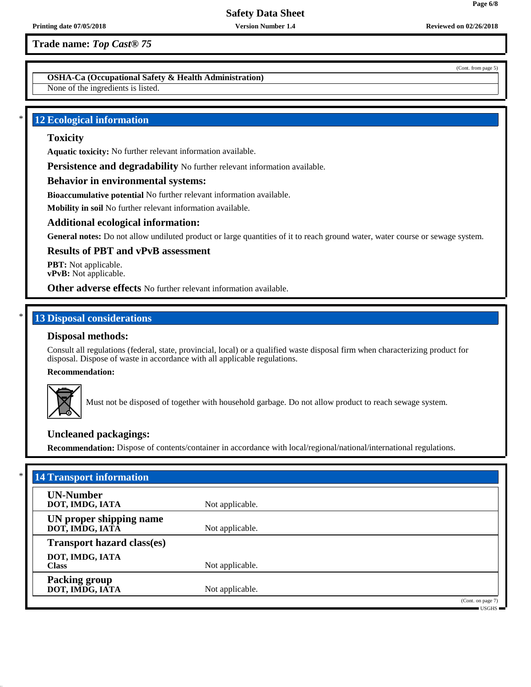**OSHA-Ca (Occupational Safety & Health Administration)**

None of the ingredients is listed.

## **12 Ecological information**

# **Toxicity**

**Aquatic toxicity:** No further relevant information available.

**Persistence and degradability** No further relevant information available.

## **Behavior in environmental systems:**

**Bioaccumulative potential** No further relevant information available.

**Mobility in soil** No further relevant information available.

#### **Additional ecological information:**

**General notes:** Do not allow undiluted product or large quantities of it to reach ground water, water course or sewage system.

## **Results of PBT and vPvB assessment**

**PBT:** Not applicable. **vPvB:** Not applicable.

**Other adverse effects** No further relevant information available.

# **13 Disposal considerations**

## **Disposal methods:**

Consult all regulations (federal, state, provincial, local) or a qualified waste disposal firm when characterizing product for disposal. Dispose of waste in accordance with all applicable regulations.

**Recommendation:**



Must not be disposed of together with household garbage. Do not allow product to reach sewage system.

## **Uncleaned packagings:**

**Recommendation:** Dispose of contents/container in accordance with local/regional/national/international regulations.

| <b>UN-Number</b>                           |                 |  |
|--------------------------------------------|-----------------|--|
| DOT, IMDG, IATA                            | Not applicable. |  |
| UN proper shipping name<br>DOT, IMDG, IATĀ | Not applicable. |  |
| <b>Transport hazard class(es)</b>          |                 |  |
| DOT, IMDG, IATA<br><b>Class</b>            | Not applicable. |  |
| <b>Packing group</b><br>DOT, IMDG, IATA    | Not applicable. |  |

USGHS

**Page 6/8**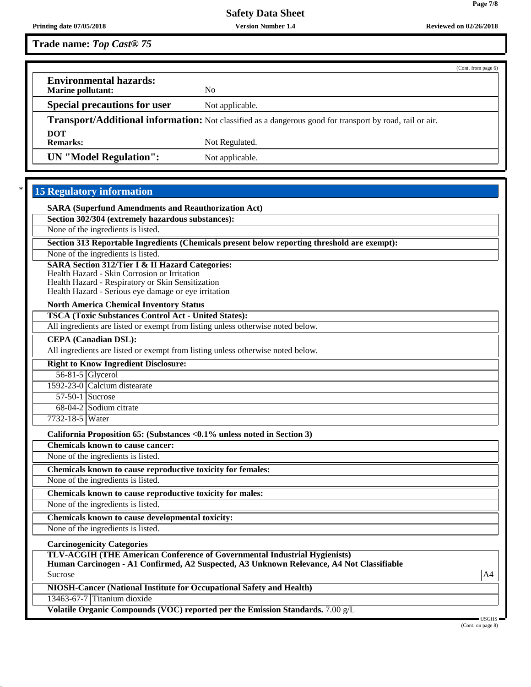**Page 7/8**

| Trade name: Top Cast <sup>®</sup> 75 |  |  |  |
|--------------------------------------|--|--|--|
|--------------------------------------|--|--|--|

|                                                                                                                 |                 | (Cont. from page 6) |
|-----------------------------------------------------------------------------------------------------------------|-----------------|---------------------|
| <b>Environmental hazards:</b>                                                                                   |                 |                     |
| <b>Marine pollutant:</b>                                                                                        | No.             |                     |
| <b>Special precautions for user</b>                                                                             | Not applicable. |                     |
| <b>Transport/Additional information:</b> Not classified as a dangerous good for transport by road, rail or air. |                 |                     |
| <b>DOT</b>                                                                                                      |                 |                     |
| <b>Remarks:</b>                                                                                                 | Not Regulated.  |                     |
| <b>UN</b> "Model Regulation":                                                                                   | Not applicable. |                     |

# **15 Regulatory information**

**SARA (Superfund Amendments and Reauthorization Act)**

**Section 302/304 (extremely hazardous substances):**

None of the ingredients is listed.

**Section 313 Reportable Ingredients (Chemicals present below reporting threshold are exempt):**

None of the ingredients is listed.

**SARA Section 312/Tier I & II Hazard Categories:**

Health Hazard - Skin Corrosion or Irritation

Health Hazard - Respiratory or Skin Sensitization Health Hazard - Serious eye damage or eye irritation

**North America Chemical Inventory Status**

**TSCA (Toxic Substances Control Act - United States):**

All ingredients are listed or exempt from listing unless otherwise noted below.

**CEPA (Canadian DSL):**

All ingredients are listed or exempt from listing unless otherwise noted below.

**Right to Know Ingredient Disclosure:** 56-81-5 Glycerol

1592-23-0 Calcium distearate

57-50-1 Sucrose 68-04-2 Sodium citrate

7732-18-5 Water

**California Proposition 65: (Substances <0.1% unless noted in Section 3)**

**Chemicals known to cause cancer:**

None of the ingredients is listed.

**Chemicals known to cause reproductive toxicity for females:**

None of the ingredients is listed.

**Chemicals known to cause reproductive toxicity for males:**

None of the ingredients is listed.

**Chemicals known to cause developmental toxicity:**

None of the ingredients is listed.

**Carcinogenicity Categories**

**TLV-ACGIH (THE American Conference of Governmental Industrial Hygienists)**

**Human Carcinogen - A1 Confirmed, A2 Suspected, A3 Unknown Relevance, A4 Not Classifiable** Sucrose A4

**NIOSH-Cancer (National Institute for Occupational Safety and Health)**

13463-67-7 Titanium dioxide

**Volatile Organic Compounds (VOC) reported per the Emission Standards.** 7.00 g/L